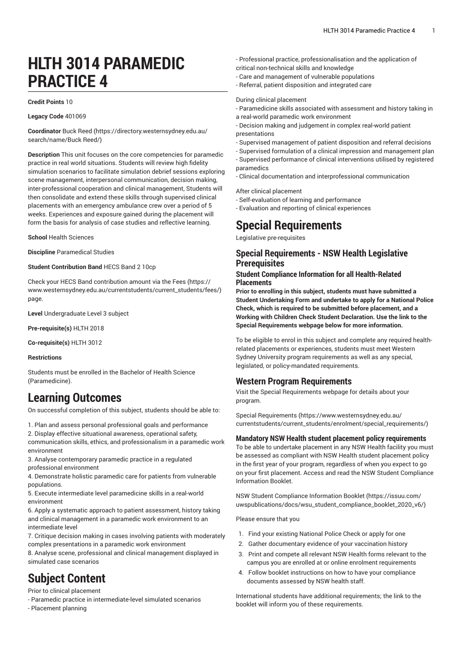# **HLTH 3014 PARAMEDIC PRACTICE 4**

#### **Credit Points** 10

**Legacy Code** 401069

**Coordinator** [Buck Reed \(https://directory.westernsydney.edu.au/](https://directory.westernsydney.edu.au/search/name/Buck Reed/) [search/name/Buck](https://directory.westernsydney.edu.au/search/name/Buck Reed/) Reed/)

**Description** This unit focuses on the core competencies for paramedic practice in real world situations. Students will review high fidelity simulation scenarios to facilitate simulation debrief sessions exploring scene management, interpersonal communication, decision making, inter-professional cooperation and clinical management, Students will then consolidate and extend these skills through supervised clinical placements with an emergency ambulance crew over a period of 5 weeks. Experiences and exposure gained during the placement will form the basis for analysis of case studies and reflective learning.

**School** Health Sciences

**Discipline** Paramedical Studies

**Student Contribution Band** HECS Band 2 10cp

Check your HECS Band contribution amount via the [Fees \(https://](https://www.westernsydney.edu.au/currentstudents/current_students/fees/) [www.westernsydney.edu.au/currentstudents/current\\_students/fees/\)](https://www.westernsydney.edu.au/currentstudents/current_students/fees/) page.

**Level** Undergraduate Level 3 subject

**Pre-requisite(s)** [HLTH](/search/?P=HLTH%202018) 2018

**Co-requisite(s)** [HLTH](/search/?P=HLTH%203012) 3012

#### **Restrictions**

Students must be enrolled in the Bachelor of Health Science (Paramedicine).

### **Learning Outcomes**

On successful completion of this subject, students should be able to:

1. Plan and assess personal professional goals and performance 2. Display effective situational awareness, operational safety,

communication skills, ethics, and professionalism in a paramedic work environment

3. Analyse contemporary paramedic practice in a regulated professional environment

4. Demonstrate holistic paramedic care for patients from vulnerable populations.

5. Execute intermediate level paramedicine skills in a real-world environment

6. Apply a systematic approach to patient assessment, history taking and clinical management in a paramedic work environment to an intermediate level

7. Critique decision making in cases involving patients with moderately complex presentations in a paramedic work environment

8. Analyse scene, professional and clinical management displayed in simulated case scenarios

# **Subject Content**

Prior to clinical placement

- Paramedic practice in intermediate-level simulated scenarios
- Placement planning
- Professional practice, professionalisation and the application of critical non-technical skills and knowledge
- Care and management of vulnerable populations
- Referral, patient disposition and integrated care

#### During clinical placement

- Paramedicine skills associated with assessment and history taking in a real-world paramedic work environment
- Decision making and judgement in complex real-world patient presentations
- Supervised management of patient disposition and referral decisions

- Supervised formulation of a clinical impression and management plan - Supervised performance of clinical interventions utilised by registered paramedics

- Clinical documentation and interprofessional communication

After clinical placement

- Self-evaluation of learning and performance
- Evaluation and reporting of clinical experiences

### **Special Requirements**

Legislative pre-requisites

#### **Special Requirements - NSW Health Legislative Prerequisites**

#### **Student Compliance Information for all Health-Related Placements**

**Prior to enrolling in this subject, students must have submitted a Student Undertaking Form and undertake to apply for a National Police Check, which is required to be submitted before placement, and a Working with Children Check Student Declaration. Use the link to the Special Requirements webpage below for more information.**

To be eligible to enrol in this subject and complete any required healthrelated placements or experiences, students must meet Western Sydney University program requirements as well as any special, legislated, or policy-mandated requirements.

#### **Western Program Requirements**

Visit the Special Requirements webpage for details about your program.

Special [Requirements \(https://www.westernsydney.edu.au/](https://www.westernsydney.edu.au/currentstudents/current_students/enrolment/special_requirements/) [currentstudents/current\\_students/enrolment/special\\_requirements/](https://www.westernsydney.edu.au/currentstudents/current_students/enrolment/special_requirements/))

#### **Mandatory NSW Health student placement policy requirements**

To be able to undertake placement in any NSW Health facility you must be assessed as compliant with NSW Health student placement policy in the first year of your program, regardless of when you expect to go on your first placement. Access and read the NSW Student Compliance Information Booklet.

[NSW Student Compliance Information Booklet](https://issuu.com/uwspublications/docs/wsu_student_compliance_booklet_2020_v6/) ([https://issuu.com/](https://issuu.com/uwspublications/docs/wsu_student_compliance_booklet_2020_v6/) [uwspublications/docs/wsu\\_student\\_compliance\\_booklet\\_2020\\_v6/](https://issuu.com/uwspublications/docs/wsu_student_compliance_booklet_2020_v6/))

Please ensure that you

- 1. Find your existing National Police Check or apply for one
- 2. Gather documentary evidence of your vaccination history
- 3. Print and compete all relevant NSW Health forms relevant to the campus you are enrolled at or online enrolment requirements
- 4. Follow booklet instructions on how to have your compliance documents assessed by NSW health staff.

International students have additional requirements; the link to the booklet will inform you of these requirements.